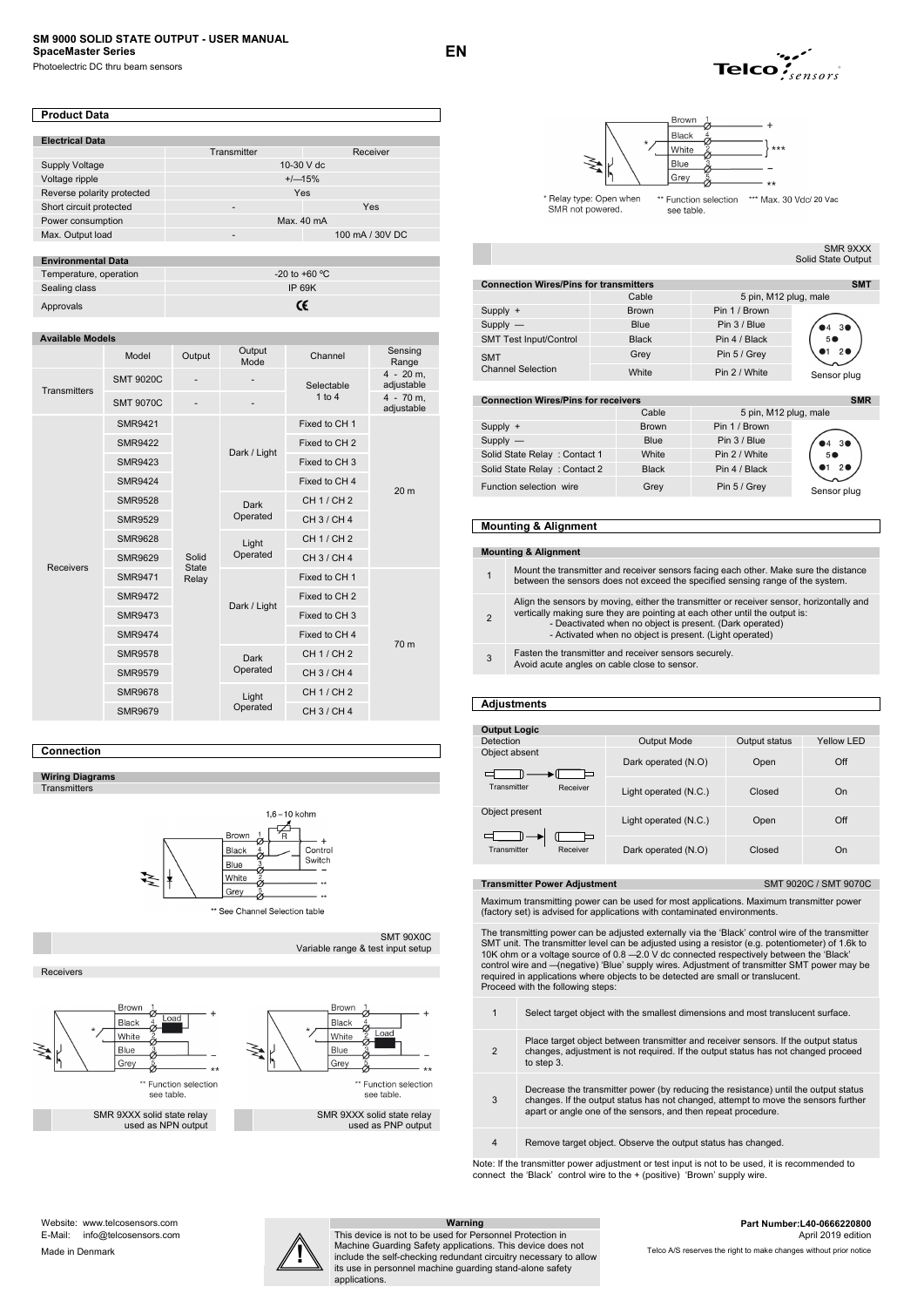# **SM 9000 SOLID STATE OUTPUT - USER MANUAL SpaceMaster Series**

Photoelectric DC thru beam sensors

| <b>Product Data</b>        |             |                 |  |
|----------------------------|-------------|-----------------|--|
|                            |             |                 |  |
| <b>Electrical Data</b>     |             |                 |  |
|                            | Transmitter | Receiver        |  |
| Supply Voltage             |             | 10-30 V dc      |  |
| Voltage ripple             |             | $+/-15%$        |  |
| Reverse polarity protected | Yes         |                 |  |
| Short circuit protected    | ۰           | Yes             |  |
| Power consumption          |             | Max. 40 mA      |  |
| Max. Output load           | -           | 100 mA / 30V DC |  |

| <b>Environmental Data</b> |                   |
|---------------------------|-------------------|
| Temperature, operation    | $-20$ to $+60$ °C |
| Sealing class             | IP 69K            |
| Approvals                 | Œ                 |

#### **Available Models**

|                     | Model            | Output                         | Output<br>Mode   | Channel                  | Sensing<br>Range          |  |
|---------------------|------------------|--------------------------------|------------------|--------------------------|---------------------------|--|
| <b>Transmitters</b> | <b>SMT 9020C</b> |                                |                  | Selectable               | $4 - 20$ m.<br>adjustable |  |
|                     | <b>SMT 9070C</b> |                                |                  | 1 to 4                   | $4 - 70$ m,<br>adjustable |  |
|                     | <b>SMR9421</b>   |                                |                  | Fixed to CH 1            |                           |  |
|                     | <b>SMR9422</b>   |                                | Dark / Light     | Fixed to CH <sub>2</sub> |                           |  |
|                     | <b>SMR9423</b>   |                                |                  | Fixed to CH 3            |                           |  |
|                     | <b>SMR9424</b>   |                                |                  | Fixed to CH 4            | 20 <sub>m</sub>           |  |
|                     | <b>SMR9528</b>   |                                | Dark<br>Operated | CH 1 / CH 2              |                           |  |
|                     | <b>SMR9529</b>   |                                |                  | CH 3 / CH 4              |                           |  |
|                     | <b>SMR9628</b>   | Solid<br><b>State</b><br>Relay |                  | Light                    | CH 1 / CH 2               |  |
| <b>Receivers</b>    | <b>SMR9629</b>   |                                | Operated         | CH 3 / CH 4              |                           |  |
|                     | <b>SMR9471</b>   |                                |                  | Fixed to CH 1            |                           |  |
|                     | <b>SMR9472</b>   |                                | Dark / Light     | Fixed to CH <sub>2</sub> |                           |  |
|                     | <b>SMR9473</b>   |                                |                  | Fixed to CH 3            |                           |  |
|                     | <b>SMR9474</b>   |                                |                  | Fixed to CH 4            | 70 m                      |  |
|                     | <b>SMR9578</b>   |                                | Dark             | CH 1 / CH 2              |                           |  |
|                     | <b>SMR9579</b>   |                                |                  | Operated                 | CH 3 / CH 4               |  |
|                     | <b>SMR9678</b>   |                                | Light            | CH 1 / CH 2              |                           |  |
|                     | <b>SMR9679</b>   |                                | Operated         | CH 3 / CH 4              |                           |  |

### **Connection**

**Wiring Diagrams Transmitters** 



\*\* See Channel Selection table

Receivers







SMR 9XXX solid state relay used as PNP output

applications.

Variable range & test input setup

SMT 90X0C





SMR not powered

**EN** 

SMR 9XXX Solid State Output

| <b>Connection Wires/Pins for transmitters</b><br><b>SMT</b>                                                                                                                                                                                                                                                          |              |                       |                |  |
|----------------------------------------------------------------------------------------------------------------------------------------------------------------------------------------------------------------------------------------------------------------------------------------------------------------------|--------------|-----------------------|----------------|--|
|                                                                                                                                                                                                                                                                                                                      | Cable        | 5 pin, M12 plug, male |                |  |
| Supply +                                                                                                                                                                                                                                                                                                             | <b>Brown</b> | Pin 1 / Brown         |                |  |
| $Supply$ —                                                                                                                                                                                                                                                                                                           | <b>Blue</b>  | Pin 3 / Blue          | 3 <sup>o</sup> |  |
| SMT Test Input/Control                                                                                                                                                                                                                                                                                               | <b>Black</b> | Pin 4 / Black         | 50             |  |
| <b>SMT</b>                                                                                                                                                                                                                                                                                                           | Grey         | Pin 5 / Grey          |                |  |
| <b>Channel Selection</b>                                                                                                                                                                                                                                                                                             | White        | Pin 2 / White         | Sensor plug    |  |
|                                                                                                                                                                                                                                                                                                                      |              |                       |                |  |
| $\sum$<br>$\mathbf{A}$ - and $\mathbf{A}$ - and $\mathbf{A}$ $\mathbf{B}$ and $\mathbf{B}$ and $\mathbf{A}$ - $\mathbf{A}$ - $\mathbf{A}$ - $\mathbf{A}$ - $\mathbf{A}$ - $\mathbf{A}$ - $\mathbf{A}$ - $\mathbf{A}$ - $\mathbf{A}$ - $\mathbf{A}$ - $\mathbf{A}$ - $\mathbf{A}$ - $\mathbf{A}$ - $\mathbf{A}$ - $\$ |              |                       |                |  |

#### **con** Wires/Pins for receivers

|                              | Cable        | 5 pin, M12 plug, male |                |
|------------------------------|--------------|-----------------------|----------------|
| Supply +                     | <b>Brown</b> | Pin 1 / Brown         |                |
| $Supply -$                   | <b>Blue</b>  | Pin 3 / Blue          | $\bullet$ 4 30 |
| Solid State Relay: Contact 1 | White        | Pin 2 / White         |                |
| Solid State Relay: Contact 2 | <b>Black</b> | Pin 4 / Black         |                |
| Function selection wire      | Grey         | Pin 5 / Grey          | Sensor plug    |

#### **Mounting & Alignment**

#### **Mounting & Alignment**

1Mount the transmitter and receiver sensors facing each other. Make sure the distance between the sensors does not exceed the specified sensing range of the system.

2 Align the sensors by moving, either the transmitter or receiver sensor, horizontally and vertically making sure they are pointing at each other until the output is: - Deactivated when no object is present. (Dark operated) - Activated when no object is present. (Light operated)

- 
- <sup>3</sup>Fasten the transmitter and receiver sensors securely.
- Avoid acute angles on cable close to sensor.

#### **Adjustments**

| <b>Output Logic</b>     |                                     |        |            |  |
|-------------------------|-------------------------------------|--------|------------|--|
| Detection               | <b>Output Mode</b><br>Output status |        | Yellow LED |  |
| Object absent           | Dark operated (N.O)                 | Open   | Off        |  |
| Transmitter<br>Receiver | Light operated (N.C.)               | Closed | On         |  |
| Object present          | Light operated (N.C.)               | Open   | Off        |  |
| Receiver<br>Transmitter | Dark operated (N.O)                 | Closed | On         |  |

**Transmitter Power Adjustment SMT 9020C / SMT 9070C** 

Maximum transmitting power can be used for most applications. Maximum transmitter power (factory set) is advised for applications with contaminated environments.

The transmitting power can be adjusted externally via the 'Black' control wire of the transmitter SMT unit. The transmitter level can be adjusted using a resistor (e.g. potentiometer) of 1.6k to 10K ohm or a voltage source of 0.8 — 2.0 V dc connected respectively between the 'Black' control wire and — (negative) 'Blue' supply wires. Adjustment of transmitter SMT power may be required in applications where objects to be detected are small or translucent. Proceed with the following steps:

- 1 Select target object with the smallest dimensions and most translucent surface.
- $\overline{2}$ Place target object between transmitter and receiver sensors. If the output status changes, adjustment is not required. If the output status has not changed proceed to step 3.
- 3 Decrease the transmitter power (by reducing the resistance) until the output status changes. If the output status has not changed, attempt to move the sensors further apart or angle one of the sensors, and then repeat procedure.
- 4 Remove target object. Observe the output status has changed.

Note: If the transmitter power adjustment or test input is not to be used, it is recommended to connect the 'Black' control wire to the + (positive) 'Brown' supply wire.



Machine Guarding Safety applications. This device does not Telco A/S reserves the right to make changes without prior notice This device is not to be used for Personnel Protection in Machine Guarding Safety applications. This device does not include the self-checking redundant circuitry necessary to allow its use in personnel machine guarding stand-alone safety